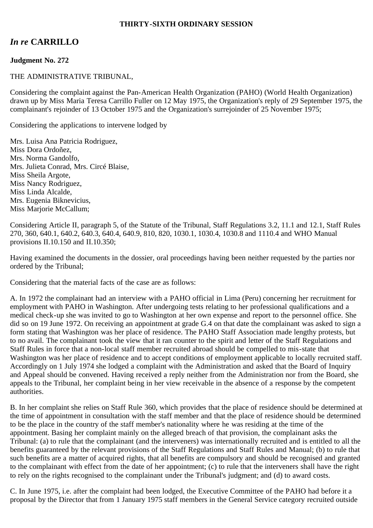#### **THIRTY-SIXTH ORDINARY SESSION**

# *In re* **CARRILLO**

## **Judgment No. 272**

### THE ADMINISTRATIVE TRIBUNAL,

Considering the complaint against the Pan-American Health Organization (PAHO) (World Health Organization) drawn up by Miss Maria Teresa Carrillo Fuller on 12 May 1975, the Organization's reply of 29 September 1975, the complainant's rejoinder of 13 October 1975 and the Organization's surrejoinder of 25 November 1975;

Considering the applications to intervene lodged by

Mrs. Luisa Ana Patricia Rodriguez, Miss Dora Ordoñez, Mrs. Norma Gandolfo, Mrs. Julieta Conrad, Mrs. Circé Blaise, Miss Sheila Argote, Miss Nancy Rodriguez, Miss Linda Alcalde, Mrs. Eugenia Biknevicius, Miss Marjorie McCallum;

Considering Article II, paragraph 5, of the Statute of the Tribunal, Staff Regulations 3.2, 11.1 and 12.1, Staff Rules 270, 360, 640.1, 640.2, 640.3, 640.4, 640.9, 810, 820, 1030.1, 1030.4, 1030.8 and 1110.4 and WHO Manual provisions II.10.150 and II.10.350;

Having examined the documents in the dossier, oral proceedings having been neither requested by the parties nor ordered by the Tribunal;

Considering that the material facts of the case are as follows:

A. In 1972 the complainant had an interview with a PAHO official in Lima (Peru) concerning her recruitment for employment with PAHO in Washington. After undergoing tests relating to her professional qualifications and a medical check-up she was invited to go to Washington at her own expense and report to the personnel office. She did so on 19 June 1972. On receiving an appointment at grade G.4 on that date the complainant was asked to sign a form stating that Washington was her place of residence. The PAHO Staff Association made lengthy protests, but to no avail. The complainant took the view that it ran counter to the spirit and letter of the Staff Regulations and Staff Rules in force that a non-local staff member recruited abroad should be compelled to mis-state that Washington was her place of residence and to accept conditions of employment applicable to locally recruited staff. Accordingly on 1 July 1974 she lodged a complaint with the Administration and asked that the Board of Inquiry and Appeal should be convened. Having received a reply neither from the Administration nor from the Board, she appeals to the Tribunal, her complaint being in her view receivable in the absence of a response by the competent authorities.

B. In her complaint she relies on Staff Rule 360, which provides that the place of residence should be determined at the time of appointment in consultation with the staff member and that the place of residence should be determined to be the place in the country of the staff member's nationality where he was residing at the time of the appointment. Basing her complaint mainly on the alleged breach of that provision, the complainant asks the Tribunal: (a) to rule that the complainant (and the interveners) was internationally recruited and is entitled to all the benefits guaranteed by the relevant provisions of the Staff Regulations and Staff Rules and Manual; (b) to rule that such benefits are a matter of acquired rights, that all benefits are compulsory and should be recognised and granted to the complainant with effect from the date of her appointment; (c) to rule that the interveners shall have the right to rely on the rights recognised to the complainant under the Tribunal's judgment; and (d) to award costs.

C. In June 1975, i.e. after the complaint had been lodged, the Executive Committee of the PAHO had before it a proposal by the Director that from 1 January 1975 staff members in the General Service category recruited outside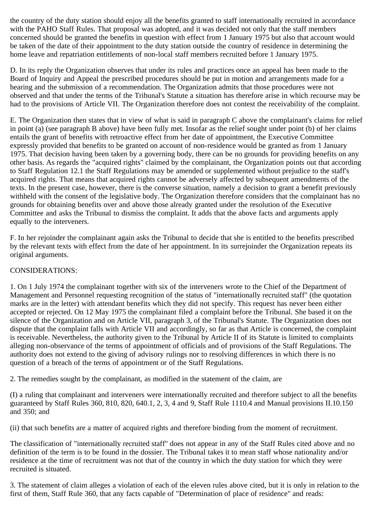the country of the duty station should enjoy all the benefits granted to staff internationally recruited in accordance with the PAHO Staff Rules. That proposal was adopted, and it was decided not only that the staff members concerned should be granted the benefits in question with effect from 1 January 1975 but also that account would be taken of the date of their appointment to the duty station outside the country of residence in determining the home leave and repatriation entitlements of non-local staff members recruited before 1 January 1975.

D. In its reply the Organization observes that under its rules and practices once an appeal has been made to the Board of Inquiry and Appeal the prescribed procedures should be put in motion and arrangements made for a hearing and the submission of a recommendation. The Organization admits that those procedures were not observed and that under the terms of the Tribunal's Statute a situation has therefore arise in which recourse may be had to the provisions of Article VII. The Organization therefore does not contest the receivability of the complaint.

E. The Organization then states that in view of what is said in paragraph C above the complainant's claims for relief in point (a) (see paragraph B above) have been fully met. Insofar as the relief sought under point (b) of her claims entails the grant of benefits with retroactive effect from her date of appointment, the Executive Committee expressly provided that benefits to be granted on account of non-residence would be granted as from 1 January 1975. That decision having been taken by a governing body, there can be no grounds for providing benefits on any other basis. As regards the "acquired rights" claimed by the complainant, the Organization points out that according to Staff Regulation 12.1 the Staff Regulations may be amended or supplemented without prejudice to the staff's acquired rights. That means that acquired rights cannot be adversely affected by subsequent amendments of the texts. In the present case, however, there is the converse situation, namely a decision to grant a benefit previously withheld with the consent of the legislative body. The Organization therefore considers that the complainant has no grounds for obtaining benefits over and above those already granted under the resolution of the Executive Committee and asks the Tribunal to dismiss the complaint. It adds that the above facts and arguments apply equally to the interveners.

F. In her rejoinder the complainant again asks the Tribunal to decide that she is entitled to the benefits prescribed by the relevant texts with effect from the date of her appointment. In its surrejoinder the Organization repeats its original arguments.

## CONSIDERATIONS:

1. On 1 July 1974 the complainant together with six of the interveners wrote to the Chief of the Department of Management and Personnel requesting recognition of the status of "internationally recruited staff" (the quotation marks are in the letter) with attendant benefits which they did not specify. This request has never been either accepted or rejected. On 12 May 1975 the complainant filed a complaint before the Tribunal. She based it on the silence of the Organization and on Article VII, paragraph 3, of the Tribunal's Statute. The Organization does not dispute that the complaint falls with Article VII and accordingly, so far as that Article is concerned, the complaint is receivable. Nevertheless, the authority given to the Tribunal by Article II of its Statute is limited to complaints alleging non-observance of the terms of appointment of officials and of provisions of the Staff Regulations. The authority does not extend to the giving of advisory rulings nor to resolving differences in which there is no question of a breach of the terms of appointment or of the Staff Regulations.

2. The remedies sought by the complainant, as modified in the statement of the claim, are

(I) a ruling that complainant and interveners were internationally recruited and therefore subject to all the benefits guaranteed by Staff Rules 360, 810, 820, 640.1, 2, 3, 4 and 9, Staff Rule 1110.4 and Manual provisions II.10.150 and 350; and

(ii) that such benefits are a matter of acquired rights and therefore binding from the moment of recruitment.

The classification of "internationally recruited staff" does not appear in any of the Staff Rules cited above and no definition of the term is to be found in the dossier. The Tribunal takes it to mean staff whose nationality and/or residence at the time of recruitment was not that of the country in which the duty station for which they were recruited is situated.

3. The statement of claim alleges a violation of each of the eleven rules above cited, but it is only in relation to the first of them, Staff Rule 360, that any facts capable of "Determination of place of residence" and reads: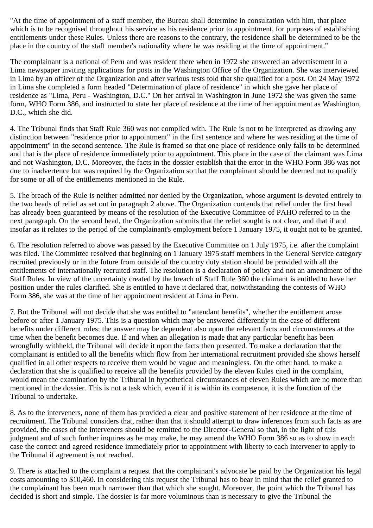"At the time of appointment of a staff member, the Bureau shall determine in consultation with him, that place which is to be recognised throughout his service as his residence prior to appointment, for purposes of establishing entitlements under these Rules. Unless there are reasons to the contrary, the residence shall be determined to be the place in the country of the staff member's nationality where he was residing at the time of appointment."

The complainant is a national of Peru and was resident there when in 1972 she answered an advertisement in a Lima newspaper inviting applications for posts in the Washington Office of the Organization. She was interviewed in Lima by an officer of the Organization and after various tests told that she qualified for a post. On 24 May 1972 in Lima she completed a form headed "Determination of place of residence" in which she gave her place of residence as "Lima, Peru - Washington, D.C." On her arrival in Washington in June 1972 she was given the same form, WHO Form 386, and instructed to state her place of residence at the time of her appointment as Washington, D.C., which she did.

4. The Tribunal finds that Staff Rule 360 was not complied with. The Rule is not to be interpreted as drawing any distinction between "residence prior to appointment" in the first sentence and where he was residing at the time of appointment" in the second sentence. The Rule is framed so that one place of residence only falls to be determined and that is the place of residence immediately prior to appointment. This place in the case of the claimant was Lima and not Washington, D.C. Moreover, the facts in the dossier establish that the error in the WHO Form 386 was not due to inadvertence but was required by the Organization so that the complainant should be deemed not to qualify for some or all of the entitlements mentioned in the Rule.

5. The breach of the Rule is neither admitted nor denied by the Organization, whose argument is devoted entirely to the two heads of relief as set out in paragraph 2 above. The Organization contends that relief under the first head has already been guaranteed by means of the resolution of the Executive Committee of PAHO referred to in the next paragraph. On the second head, the Organization submits that the relief sought is not clear, and that if and insofar as it relates to the period of the complainant's employment before 1 January 1975, it ought not to be granted.

6. The resolution referred to above was passed by the Executive Committee on 1 July 1975, i.e. after the complaint was filed. The Committee resolved that beginning on 1 January 1975 staff members in the General Service category recruited previously or in the future from outside of the country duty station should be provided with all the entitlements of internationally recruited staff. The resolution is a declaration of policy and not an amendment of the Staff Rules. In view of the uncertainty created by the breach of Staff Rule 360 the claimant is entitled to have her position under the rules clarified. She is entitled to have it declared that, notwithstanding the contests of WHO Form 386, she was at the time of her appointment resident at Lima in Peru.

7. But the Tribunal will not decide that she was entitled to "attendant benefits", whether the entitlement arose before or after 1 January 1975. This is a question which may be answered differently in the case of different benefits under different rules; the answer may be dependent also upon the relevant facts and circumstances at the time when the benefit becomes due. If and when an allegation is made that any particular benefit has been wrongfully withheld, the Tribunal will decide it upon the facts then presented. To make a declaration that the complainant is entitled to all the benefits which flow from her international recruitment provided she shows herself qualified in all other respects to receive them would be vague and meaningless. On the other hand, to make a declaration that she is qualified to receive all the benefits provided by the eleven Rules cited in the complaint, would mean the examination by the Tribunal in hypothetical circumstances of eleven Rules which are no more than mentioned in the dossier. This is not a task which, even if it is within its competence, it is the function of the Tribunal to undertake.

8. As to the interveners, none of them has provided a clear and positive statement of her residence at the time of recruitment. The Tribunal considers that, rather than that it should attempt to draw inferences from such facts as are provided, the cases of the interveners should be remitted to the Director-General so that, in the light of this judgment and of such further inquires as he may make, he may amend the WHO Form 386 so as to show in each case the correct and agreed residence immediately prior to appointment with liberty to each intervener to apply to the Tribunal if agreement is not reached.

9. There is attached to the complaint a request that the complainant's advocate be paid by the Organization his legal costs amounting to \$10,460. In considering this request the Tribunal has to bear in mind that the relief granted to the complainant has been much narrower than that which she sought. Moreover, the point which the Tribunal has decided is short and simple. The dossier is far more voluminous than is necessary to give the Tribunal the